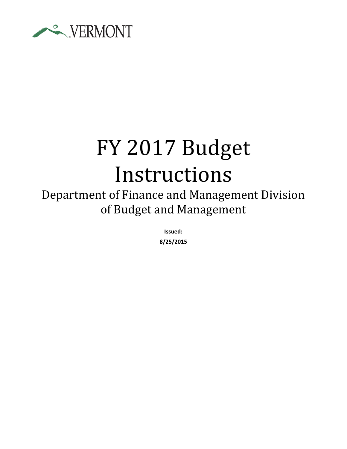

# FY 2017 Budget Instructions

Department of Finance and Management Division of Budget and Management

> **Issued: 8/25/2015**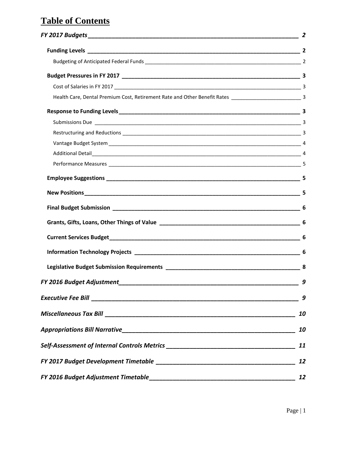# **Table of Contents**

|                                                                                  | 9         |  |
|----------------------------------------------------------------------------------|-----------|--|
|                                                                                  | 9         |  |
|                                                                                  | 10        |  |
|                                                                                  | 10        |  |
| Self-Assessment of Internal Controls Metrics ___________________________________ | 11        |  |
|                                                                                  | 12        |  |
|                                                                                  | <b>12</b> |  |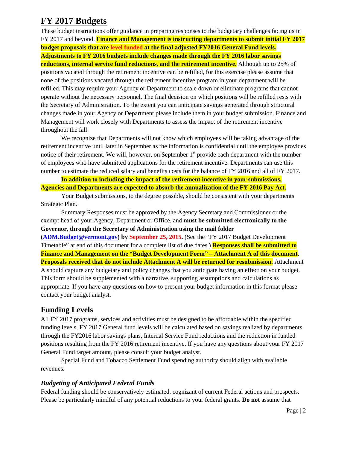# <span id="page-2-0"></span>**FY 2017 Budgets**

These budget instructions offer guidance in preparing responses to the budgetary challenges facing us in FY 2017 and beyond. **Finance and Management is instructing departments to submit initial FY 2017 budget proposals that are level funded at the final adjusted FY2016 General Fund levels. Adjustments to FY 2016 budgets include changes made through the FY 2016 labor savings reductions, internal service fund reductions, and the retirement incentive.** Although up to 25% of positions vacated through the retirement incentive can be refilled, for this exercise please assume that none of the positions vacated through the retirement incentive program in your department will be refilled. This may require your Agency or Department to scale down or eliminate programs that cannot operate without the necessary personnel. The final decision on which positions will be refilled rests with the Secretary of Administration. To the extent you can anticipate savings generated through structural changes made in your Agency or Department please include them in your budget submission. Finance and Management will work closely with Departments to assess the impact of the retirement incentive throughout the fall.

We recognize that Departments will not know which employees will be taking advantage of the retirement incentive until later in September as the information is confidential until the employee provides notice of their retirement. We will, however, on September 1<sup>st</sup> provide each department with the number of employees who have submitted applications for the retirement incentive. Departments can use this number to estimate the reduced salary and benefits costs for the balance of FY 2016 and all of FY 2017.

**In addition to including the impact of the retirement incentive in your submissions, Agencies and Departments are expected to absorb the annualization of the FY 2016 Pay Act.**

Your Budget submissions, to the degree possible, should be consistent with your departments Strategic Plan.

Summary Responses must be approved by the Agency Secretary and Commissioner or the exempt head of your Agency, Department or Office, and **must be submitted electronically to the Governor, through the Secretary of Administration using the mail folder** 

**[\(ADM.Budget@vermont.gov\)](mailto:ADM.Budget@vermont.gov) by September 25, 2015.** (See the "FY 2017 Budget Development Timetable" at end of this document for a complete list of due dates.) **Responses shall be submitted to Finance and Management on the "Budget Development Form" – Attachment A of this document. Proposals received that do not include Attachment A will be returned for resubmission.** Attachment

A should capture any budgetary and policy changes that you anticipate having an effect on your budget. This form should be supplemented with a narrative, supporting assumptions and calculations as appropriate. If you have any questions on how to present your budget information in this format please contact your budget analyst.

## <span id="page-2-1"></span>**Funding Levels**

All FY 2017 programs, services and activities must be designed to be affordable within the specified funding levels. FY 2017 General fund levels will be calculated based on savings realized by departments through the FY2016 labor savings plans, Internal Service Fund reductions and the reduction in funded positions resulting from the FY 2016 retirement incentive. If you have any questions about your FY 2017 General Fund target amount, please consult your budget analyst.

Special Fund and Tobacco Settlement Fund spending authority should align with available revenues.

#### <span id="page-2-2"></span>*Budgeting of Anticipated Federal Funds*

Federal funding should be conservatively estimated, cognizant of current Federal actions and prospects. Please be particularly mindful of any potential reductions to your federal grants. **Do not** assume that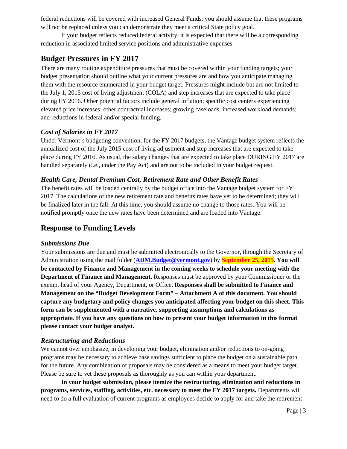federal reductions will be covered with increased General Funds; you should assume that these programs will not be replaced unless you can demonstrate they meet a critical State policy goal.

If your budget reflects reduced federal activity, it is expected that there will be a corresponding reduction in associated limited service positions and administrative expenses.

## <span id="page-3-0"></span>**Budget Pressures in FY 2017**

There are many routine expenditure pressures that must be covered within your funding targets; your budget presentation should outline what your current pressures are and how you anticipate managing them with the resource enumerated in your budget target. Pressures might include but are not limited to the July 1, 2015 cost of living adjustment (COLA) and step increases that are expected to take place during FY 2016. Other potential factors include general inflation; specific cost centers experiencing elevated price increases; other contractual increases; growing caseloads; increased workload demands; and reductions in federal and/or special funding.

#### <span id="page-3-1"></span>*Cost of Salaries in FY 2017*

Under Vermont's budgeting convention, for the FY 2017 budgets, the Vantage budget system reflects the annualized cost of the July 2015 cost of living adjustment and step increases that are expected to take place during FY 2016. As usual, the salary changes that are expected to take place DURING FY 2017 are handled separately (i.e., under the Pay Act) and are not to be included in your budget request.

#### <span id="page-3-2"></span>*Health Care, Dental Premium Cost, Retirement Rate and Other Benefit Rates*

The benefit rates will be loaded centrally by the budget office into the Vantage budget system for FY 2017. The calculations of the new retirement rate and benefits rates have yet to be determined; they will be finalized later in the fall. At this time, you should assume no change to those rates. You will be notified promptly once the new rates have been determined and are loaded into Vantage.

## <span id="page-3-3"></span>**Response to Funding Levels**

#### <span id="page-3-4"></span>*Submissions Due*

Your submissions are due and must be submitted electronically to the Governor, through the Secretary of Administration using the mail folder (**[ADM.Budget@vermont.gov](mailto:ADM.Budget@vermont.gov)**) by **September 25, 2015**. **You will be contacted by Finance and Management in the coming weeks to schedule your meeting with the Department of Finance and Management.** Responses must be approved by your Commissioner or the exempt head of your Agency, Department, or Office. **Responses shall be submitted to Finance and Management on the "Budget Development Form" – Attachment A of this document. You should capture any budgetary and policy changes you anticipated affecting your budget on this sheet. This form can be supplemented with a narrative, supporting assumptions and calculations as appropriate. If you have any questions on how to present your budget information in this format please contact your budget analyst.**

#### <span id="page-3-5"></span>*Restructuring and Reductions*

We cannot over emphasize, in developing your budget, elimination and/or reductions to on-going programs may be necessary to achieve base savings sufficient to place the budget on a sustainable path for the future. Any combination of proposals may be considered as a means to meet your budget target. Please be sure to vet these proposals as thoroughly as you can within your department.

**In your budget submission, please itemize the restructuring, elimination and reductions in programs, services, staffing, activities, etc. necessary to meet the FY 2017 targets.** Departments will need to do a full evaluation of current programs as employees decide to apply for and take the retirement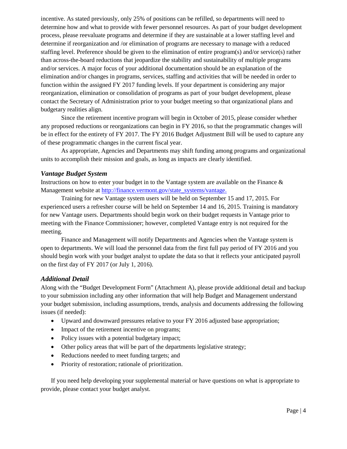incentive. As stated previously, only 25% of positions can be refilled, so departments will need to determine how and what to provide with fewer personnel resources. As part of your budget development process, please reevaluate programs and determine if they are sustainable at a lower staffing level and determine if reorganization and /or elimination of programs are necessary to manage with a reduced staffing level. Preference should be given to the elimination of entire program(s) and/or service(s) rather than across-the-board reductions that jeopardize the stability and sustainability of multiple programs and/or services. A major focus of your additional documentation should be an explanation of the elimination and/or changes in programs, services, staffing and activities that will be needed in order to function within the assigned FY 2017 funding levels. If your department is considering any major reorganization, elimination or consolidation of programs as part of your budget development, please contact the Secretary of Administration prior to your budget meeting so that organizational plans and budgetary realities align.

Since the retirement incentive program will begin in October of 2015, please consider whether any proposed reductions or reorganizations can begin in FY 2016, so that the programmatic changes will be in effect for the entirety of FY 2017. The FY 2016 Budget Adjustment Bill will be used to capture any of these programmatic changes in the current fiscal year.

As appropriate, Agencies and Departments may shift funding among programs and organizational units to accomplish their mission and goals, as long as impacts are clearly identified.

#### <span id="page-4-0"></span>*Vantage Budget System*

Instructions on how to enter your budget in to the Vantage system are available on the Finance  $\&$ Management website at [http://finance.vermont.gov/state\\_systems/vantage.](http://finance.vermont.gov/state_systems/vantage)

Training for new Vantage system users will be held on September 15 and 17, 2015. For experienced users a refresher course will be held on September 14 and 16, 2015. Training is mandatory for new Vantage users. Departments should begin work on their budget requests in Vantage prior to meeting with the Finance Commissioner; however, completed Vantage entry is not required for the meeting.

Finance and Management will notify Departments and Agencies when the Vantage system is open to departments. We will load the personnel data from the first full pay period of FY 2016 and you should begin work with your budget analyst to update the data so that it reflects your anticipated payroll on the first day of FY 2017 (or July 1, 2016).

#### <span id="page-4-1"></span>*Additional Detail*

Along with the "Budget Development Form" (Attachment A), please provide additional detail and backup to your submission including any other information that will help Budget and Management understand your budget submission, including assumptions, trends, analysis and documents addressing the following issues (if needed):

- Upward and downward pressures relative to your FY 2016 adjusted base appropriation;
- Impact of the retirement incentive on programs;
- Policy issues with a potential budgetary impact;
- Other policy areas that will be part of the departments legislative strategy;
- Reductions needed to meet funding targets; and
- Priority of restoration; rationale of prioritization.

If you need help developing your supplemental material or have questions on what is appropriate to provide, please contact your budget analyst.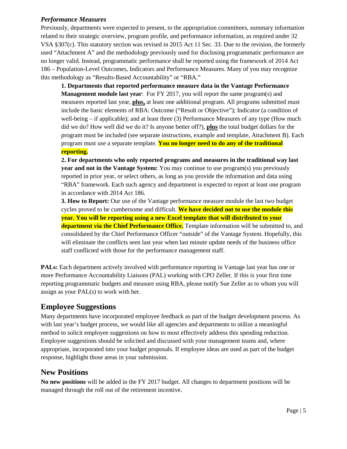#### <span id="page-5-0"></span>*Performance Measures*

Previously, departments were expected to present, to the appropriation committees, summary information related to their strategic overview, program profile, and performance information, as required under 32 VSA §307(c). This statutory section was revised in 2015 Act 11 Sec. 33. Due to the revision, the formerly used "Attachment A" and the methodology previously used for disclosing programmatic performance are no longer valid. Instead, programmatic performance shall be reported using the framework of 2014 Act 186 – Population-Level Outcomes, Indicators and Performance Measures. Many of you may recognize this methodology as "Results-Based Accountability" or "RBA."

**1. Departments that reported performance measure data in the Vantage Performance Management module last year**: For FY 2017, you will report the same program(s) and measures reported last year, **plus,** at least one additional program. All programs submitted must include the basic elements of RBA: Outcome ("Result or Objective"); Indicator (a condition of well-being – if applicable); and at least three (3) Performance Measures of any type (How much did we do? How well did we do it? Is anyone better off?), **plus** the total budget dollars for the program must be included (see separate instructions, example and template, Attachment B). Each program must use a separate template. **You no longer need to do any of the traditional reporting.**

**2. For departments who only reported programs and measures in the traditional way last year and not in the Vantage System:** You may continue to use program(s) you previously reported in prior year, or select others, as long as you provide the information and data using "RBA" framework. Each such agency and department is expected to report at least one program in accordance with 2014 Act 186.

**3. How to Report:** Our use of the Vantage performance measure module the last two budget cycles proved to be cumbersome and difficult. **We have decided not to use the module this year. You will be reporting using a new Excel template that will distributed to your department via the Chief Performance Office.** Template information will be submitted to, and consolidated by the Chief Performance Officer "outside" of the Vantage System. Hopefully, this will eliminate the conflicts seen last year when last minute update needs of the business office staff conflicted with those for the performance management staff.

**PALs:** Each department actively involved with performance reporting in Vantage last year has one or more Performance Accountability Liaisons (PAL) working with CPO Zeller. If this is your first time reporting programmatic budgets and measure using RBA, please notify Sue Zeller as to whom you will assign as your PAL(s) to work with her.

#### <span id="page-5-1"></span>**Employee Suggestions**

Many departments have incorporated employee feedback as part of the budget development process. As with last year's budget process, we would like all agencies and departments to utilize a meaningful method to solicit employee suggestions on how to most effectively address this spending reduction. Employee suggestions should be solicited and discussed with your management teams and, where appropriate, incorporated into your budget proposals. If employee ideas are used as part of the budget response, highlight those areas in your submission.

#### <span id="page-5-2"></span>**New Positions**

**No new positions** will be added in the FY 2017 budget. All changes to department positions will be managed through the roll out of the retirement incentive.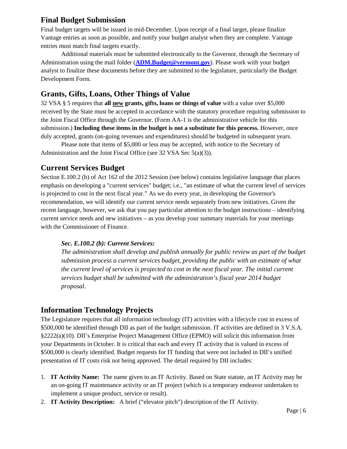## <span id="page-6-0"></span>**Final Budget Submission**

Final budget targets will be issued in mid-December. Upon receipt of a final target, please finalize Vantage entries as soon as possible, and notify your budget analyst when they are complete. Vantage entries must match final targets exactly.

Additional materials must be submitted electronically to the Governor, through the Secretary of Administration using the mail folder (**[ADM.Budget@vermont.gov](mailto:ADM.Budget@vermont.gov)**). Please work with your budget analyst to finalize these documents before they are submitted to the legislature, particularly the Budget Development Form.

## <span id="page-6-1"></span>**Grants, Gifts, Loans, Other Things of Value**

32 VSA § 5 requires that **all new grants, gifts, loans or things of value** with a value over \$5,000 received by the State must be accepted in accordance with the statutory procedure requiring submission to the Joint Fiscal Office through the Governor. (Form AA-1 is the administrative vehicle for this submission.) **Including these items in the budget is not a substitute for this process.** However, once duly accepted, grants (on-going revenues and expenditures) should be budgeted in subsequent years.

Please note that items of \$5,000 or less may be accepted, with notice to the Secretary of Administration and the Joint Fiscal Office (see 32 VSA Sec 5(a)(3)).

## <span id="page-6-2"></span>**Current Services Budget**

Section E.100.2 (b) of Act 162 of the 2012 Session (see below) contains legislative language that places emphasis on developing a "current services" budget; i.e., "an estimate of what the current level of services is projected to cost in the next fiscal year." As we do every year, in developing the Governor's recommendation, we will identify our current service needs separately from new initiatives. Given the recent language, however, we ask that you pay particular attention to the budget instructions – identifying current service needs and new initiatives – as you develop your summary materials for your meetings with the Commissioner of Finance.

#### *Sec. E.100.2 (b): Current Services:*

*The administration shall develop and publish annually for public review as part of the budget submission process a current services budget, providing the public with an estimate of what the current level of services is projected to cost in the next fiscal year. The initial current services budget shall be submitted with the administration's fiscal year 2014 budget proposal.*

## <span id="page-6-3"></span>**Information Technology Projects**

The Legislature requires that all information technology (IT) activities with a lifecycle cost in excess of \$500,000 be identified through DII as part of the budget submission. IT activities are defined in 3 V.S.A. §2222(a)(10). DII's Enterprise Project Management Office (EPMO) will solicit this information from your Departments in October. It is critical that each and every IT activity that is valued in excess of \$500,000 is clearly identified. Budget requests for IT funding that were not included in DII's unified presentation of IT costs risk not being approved. The detail required by DII includes:

- 1. **IT Activity Name:** The name given to an IT Activity. Based on State statute, an IT Activity may be an on-going IT maintenance activity or an IT project (which is a temporary endeavor undertaken to implement a unique product, service or result).
- 2. **IT Activity Description:** A brief ("elevator pitch") description of the IT Activity.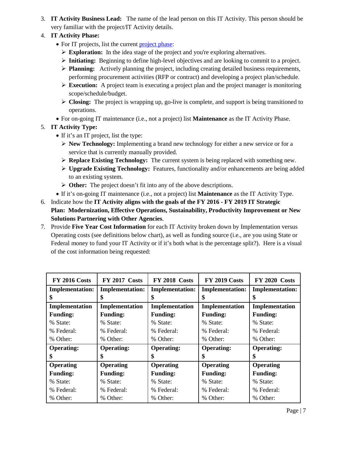- 3. **IT Activity Business Lead:** The name of the lead person on this IT Activity. This person should be very familiar with the project/IT Activity details.
- 4. **IT Activity Phase:**
	- For IT projects, list the current [project phase:](http://epmo.vermont.gov/project_process)
		- **Exploration:** In the idea stage of the project and you're exploring alternatives.
		- **Initiating:** Beginning to define high-level objectives and are looking to commit to a project.
		- **Planning:** Actively planning the project, including creating detailed business requirements, performing procurement activities (RFP or contract) and developing a project plan/schedule.
		- $\triangleright$  **Execution:** A project team is executing a project plan and the project manager is monitoring scope/schedule/budget.
		- **Closing:** The project is wrapping up, go-live is complete, and support is being transitioned to operations.
	- For on-going IT maintenance (i.e., not a project) list **Maintenance** as the IT Activity Phase.

5. **IT Activity Type:** 

- If it's an IT project, list the type:
	- **New Technology:** Implementing a brand new technology for either a new service or for a service that is currently manually provided.
	- **Replace Existing Technology:** The current system is being replaced with something new.
	- **Upgrade Existing Technology:** Features, functionality and/or enhancements are being added to an existing system.
	- **Other:** The project doesn't fit into any of the above descriptions.
- If it's on-going IT maintenance (i.e., not a project) list **Maintenance** as the IT Activity Type.
- 6. Indicate how the **IT Activity aligns with the goals of the FY 2016 - FY 2019 IT Strategic Plan: Modernization, Effective Operations, Sustainability, Productivity Improvement or New Solutions Partnering with Other Agencies**.
- 7. Provide **Five Year Cost Information** for each IT Activity broken down by Implementation versus Operating costs (see definitions below chart), as well as funding source (i.e., are you using State or Federal money to fund your IT Activity or if it's both what is the percentage split?). Here is a visual of the cost information being requested:

| <b>FY 2016 Costs</b>   | <b>FY 2017 Costs</b>   | <b>FY 2018 Costs</b>   | <b>FY 2019 Costs</b>   | <b>FY 2020 Costs</b>   |
|------------------------|------------------------|------------------------|------------------------|------------------------|
| <b>Implementation:</b> | <b>Implementation:</b> | <b>Implementation:</b> | <b>Implementation:</b> | <b>Implementation:</b> |
| \$                     | \$                     | \$                     | \$                     | \$                     |
| Implementation         | Implementation         | Implementation         | Implementation         | Implementation         |
| <b>Funding:</b>        | <b>Funding:</b>        | <b>Funding:</b>        | <b>Funding:</b>        | <b>Funding:</b>        |
| % State:               | % State:               | % State:               | % State:               | % State:               |
| % Federal:             | % Federal:             | % Federal:             | % Federal:             | % Federal:             |
| % Other:               | % Other:               | % Other:               | % Other:               | % Other:               |
| <b>Operating:</b>      | <b>Operating:</b>      | <b>Operating:</b>      | <b>Operating:</b>      | <b>Operating:</b>      |
| \$                     | \$                     | \$                     | \$                     | ж                      |
| <b>Operating</b>       | <b>Operating</b>       | <b>Operating</b>       | <b>Operating</b>       | <b>Operating</b>       |
| <b>Funding:</b>        | <b>Funding:</b>        | <b>Funding:</b>        | <b>Funding:</b>        | <b>Funding:</b>        |
| % State:               | % State:               | % State:               | % State:               | % State:               |
| % Federal:             | % Federal:             | % Federal:             | % Federal:             | % Federal:             |
| % Other:               | % Other:               | % Other:               | % Other:               | % Other:               |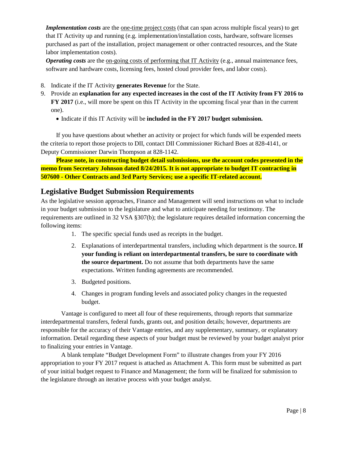*Implementation costs* are the <u>one-time project costs</u> (that can span across multiple fiscal years) to get that IT Activity up and running (e.g. implementation/installation costs, hardware, software licenses purchased as part of the installation, project management or other contracted resources, and the State labor implementation costs).

*Operating costs* are the on-going costs of performing that IT Activity (e.g., annual maintenance fees, software and hardware costs, licensing fees, hosted cloud provider fees, and labor costs).

- 8. Indicate if the IT Activity **generates Revenue** for the State.
- 9. Provide an **explanation for any expected increases in the cost of the IT Activity from FY 2016 to FY 2017** (i.e., will more be spent on this IT Activity in the upcoming fiscal year than in the current one).
	- Indicate if this IT Activity will be **included in the FY 2017 budget submission.**

If you have questions about whether an activity or project for which funds will be expended meets the criteria to report those projects to DII, contact DII Commissioner Richard Boes at 828-4141, or Deputy Commissioner Darwin Thompson at 828-1142.

**Please note, in constructing budget detail submissions, use the account codes presented in the memo from Secretary Johnson dated 8/24/2015. It is not appropriate to budget IT contracting in 507600 - Other Contracts and 3rd Party Services; use a specific IT-related account.**

#### <span id="page-8-0"></span>**Legislative Budget Submission Requirements**

As the legislative session approaches, Finance and Management will send instructions on what to include in your budget submission to the legislature and what to anticipate needing for testimony. The requirements are outlined in 32 VSA §307(b); the legislature requires detailed information concerning the following items:

- 1. The specific special funds used as receipts in the budget.
- 2. Explanations of interdepartmental transfers, including which department is the source**. If your funding is reliant on interdepartmental transfers, be sure to coordinate with the source department.** Do not assume that both departments have the same expectations. Written funding agreements are recommended.
- 3. Budgeted positions.
- 4. Changes in program funding levels and associated policy changes in the requested budget.

Vantage is configured to meet all four of these requirements, through reports that summarize interdepartmental transfers, federal funds, grants out, and position details; however, departments are responsible for the accuracy of their Vantage entries, and any supplementary, summary, or explanatory information. Detail regarding these aspects of your budget must be reviewed by your budget analyst prior to finalizing your entries in Vantage.

A blank template "Budget Development Form" to illustrate changes from your FY 2016 appropriation to your FY 2017 request is attached as Attachment A. This form must be submitted as part of your initial budget request to Finance and Management; the form will be finalized for submission to the legislature through an iterative process with your budget analyst.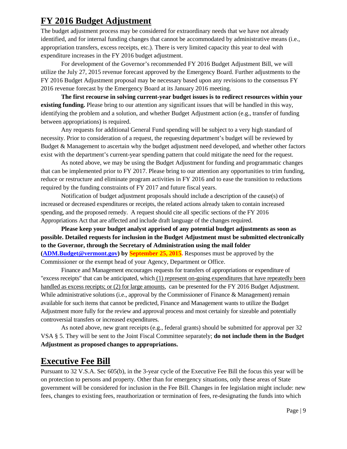# <span id="page-9-0"></span>**FY 2016 Budget Adjustment**

The budget adjustment process may be considered for extraordinary needs that we have not already identified, and for internal funding changes that cannot be accommodated by administrative means (i.e., appropriation transfers, excess receipts, etc.). There is very limited capacity this year to deal with expenditure increases in the FY 2016 budget adjustment.

For development of the Governor's recommended FY 2016 Budget Adjustment Bill, we will utilize the July 27, 2015 revenue forecast approved by the Emergency Board. Further adjustments to the FY 2016 Budget Adjustment proposal may be necessary based upon any revisions to the consensus FY 2016 revenue forecast by the Emergency Board at its January 2016 meeting.

**The first recourse in solving current-year budget issues is to redirect resources within your existing funding.** Please bring to our attention any significant issues that will be handled in this way, identifying the problem and a solution, and whether Budget Adjustment action (e.g., transfer of funding between appropriations) is required.

Any requests for additional General Fund spending will be subject to a very high standard of necessity. Prior to consideration of a request, the requesting department's budget will be reviewed by Budget & Management to ascertain why the budget adjustment need developed, and whether other factors exist with the department's current-year spending pattern that could mitigate the need for the request.

As noted above, we may be using the Budget Adjustment for funding and programmatic changes that can be implemented prior to FY 2017. Please bring to our attention any opportunities to trim funding, reduce or restructure and eliminate program activities in FY 2016 and to ease the transition to reductions required by the funding constraints of FY 2017 and future fiscal years.

Notification of budget adjustment proposals should include a description of the cause(s) of increased or decreased expenditures or receipts, the related actions already taken to contain increased spending, and the proposed remedy. A request should cite all specific sections of the FY 2016 Appropriations Act that are affected and include draft language of the changes required.

**Please keep your budget analyst apprised of any potential budget adjustments as soon as possible. Detailed requests for inclusion in the Budget Adjustment must be submitted electronically to the Governor, through the Secretary of Administration using the mail folder [\(ADM.Budget@vermont.gov\)](mailto:ADM.Budget@vermont.gov) by September 25, 2015.** Responses must be approved by the Commissioner or the exempt head of your Agency, Department or Office.

Finance and Management encourages requests for transfers of appropriations or expenditure of "excess receipts" that can be anticipated, which (1) represent on-going expenditures that have repeatedly been handled as excess receipts; or (2) for large amounts, can be presented for the FY 2016 Budget Adjustment. While administrative solutions (i.e., approval by the Commissioner of Finance & Management) remain available for such items that cannot be predicted, Finance and Management wants to utilize the Budget Adjustment more fully for the review and approval process and most certainly for sizeable and potentially controversial transfers or increased expenditures.

As noted above, new grant receipts (e.g., federal grants) should be submitted for approval per 32 VSA § 5. They will be sent to the Joint Fiscal Committee separately; **do not include them in the Budget Adjustment as proposed changes to appropriations.**

# <span id="page-9-1"></span>**Executive Fee Bill**

Pursuant to 32 V.S.A. Sec 605(b), in the 3-year cycle of the Executive Fee Bill the focus this year will be on protection to persons and property. Other than for emergency situations, only these areas of State government will be considered for inclusion in the Fee Bill. Changes in fee legislation might include: new fees, changes to existing fees, reauthorization or termination of fees, re-designating the funds into which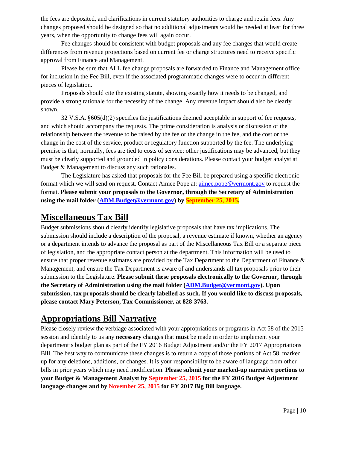the fees are deposited, and clarifications in current statutory authorities to charge and retain fees. Any changes proposed should be designed so that no additional adjustments would be needed at least for three years, when the opportunity to change fees will again occur.

Fee changes should be consistent with budget proposals and any fee changes that would create differences from revenue projections based on current fee or charge structures need to receive specific approval from Finance and Management.

Please be sure that ALL fee change proposals are forwarded to Finance and Management office for inclusion in the Fee Bill, even if the associated programmatic changes were to occur in different pieces of legislation.

Proposals should cite the existing statute, showing exactly how it needs to be changed, and provide a strong rationale for the necessity of the change. Any revenue impact should also be clearly shown.

32 V.S.A. §605(d)(2) specifies the justifications deemed acceptable in support of fee requests, and which should accompany the requests. The prime consideration is analysis or discussion of the relationship between the revenue to be raised by the fee or the change in the fee, and the cost or the change in the cost of the service, product or regulatory function supported by the fee. The underlying premise is that, normally, fees are tied to costs of service; other justifications may be advanced, but they must be clearly supported and grounded in policy considerations. Please contact your budget analyst at Budget & Management to discuss any such rationales.

The Legislature has asked that proposals for the Fee Bill be prepared using a specific electronic format which we will send on request. Contact Aimee Pope at: [aimee.pope@vermont.gov](mailto:aimee.pope@vermont.gov) to request the format. **Please submit your proposals to the Governor, through the Secretary of Administration using the mail folder [\(ADM.Budget@vermont.gov\)](mailto:ADM.Budget@vermont.gov) by September 25, 2015.**

## <span id="page-10-0"></span>**Miscellaneous Tax Bill**

Budget submissions should clearly identify legislative proposals that have tax implications. The submission should include a description of the proposal, a revenue estimate if known, whether an agency or a department intends to advance the proposal as part of the Miscellaneous Tax Bill or a separate piece of legislation, and the appropriate contact person at the department. This information will be used to ensure that proper revenue estimates are provided by the Tax Department to the Department of Finance & Management, and ensure the Tax Department is aware of and understands all tax proposals prior to their submission to the Legislature. **Please submit these proposals electronically to the Governor, through the Secretary of Administration using the mail folder [\(ADM.Budget@vermont.gov\)](mailto:ADM.Budget@vermont.gov). Upon submission, tax proposals should be clearly labelled as such. If you would like to discuss proposals, please contact Mary Peterson, Tax Commissioner, at 828-3763.** 

# <span id="page-10-1"></span>**Appropriations Bill Narrative**

Please closely review the verbiage associated with your appropriations or programs in Act 58 of the 2015 session and identify to us any **necessary** changes that **must** be made in order to implement your department's budget plan as part of the FY 2016 Budget Adjustment and/or the FY 2017 Appropriations Bill. The best way to communicate these changes is to return a copy of those portions of Act 58, marked up for any deletions, additions, or changes. It is your responsibility to be aware of language from other bills in prior years which may need modification. **Please submit your marked-up narrative portions to your Budget & Management Analyst by September 25, 2015 for the FY 2016 Budget Adjustment language changes and by November 25, 2015 for FY 2017 Big Bill language.**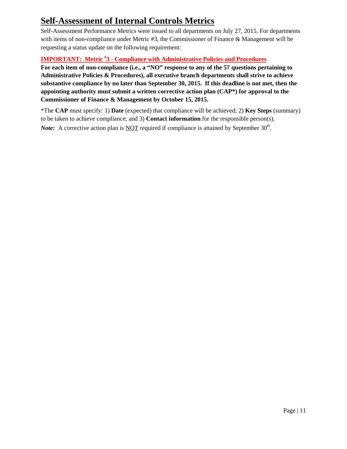# <span id="page-11-0"></span>**Self-Assessment of Internal Controls Metrics**

Self-Assessment Performance Metrics were issued to all departments on July 27, 2015. For departments with items of non-compliance under Metric #3, the Commissioner of Finance & Management will be requesting a status update on the following requirement:

### **IMPORTANT: Metric # 3 - Compliance with Administrative Policies and Procedures**

**For each item of non-compliance (i.e., a "NO" response to any of the 57 questions pertaining to Administrative Policies & Procedures), all executive branch departments shall strive to achieve substantive compliance by no later than September 30, 2015. If this deadline is not met, then the appointing authority must submit a written corrective action plan (CAP\*) for approval to the Commissioner of Finance & Management by October 15, 2015.** 

<span id="page-11-1"></span>\*The **CAP** must specify: 1) **Date** (expected) that compliance will be achieved; 2) **Key Steps** (summary) to be taken to achieve compliance; and 3) **Contact information** for the responsible person(s). *Note:* A corrective action plan is <u>NOT</u> required if compliance is attained by September 30<sup>th</sup>.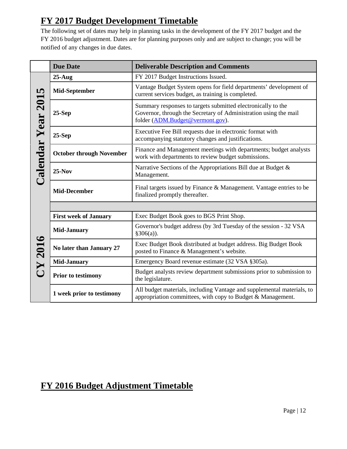# **FY 2017 Budget Development Timetable**

The following set of dates may help in planning tasks in the development of the FY 2017 budget and the FY 2016 budget adjustment. Dates are for planning purposes only and are subject to change; you will be notified of any changes in due dates.

|                    | <b>Due Date</b>                 | <b>Deliverable Description and Comments</b>                                                                                                                          |  |
|--------------------|---------------------------------|----------------------------------------------------------------------------------------------------------------------------------------------------------------------|--|
| Calendar Year 2015 | $25-Aug$                        | FY 2017 Budget Instructions Issued.                                                                                                                                  |  |
|                    | Mid-September                   | Vantage Budget System opens for field departments' development of<br>current services budget, as training is completed.                                              |  |
|                    | $25-Sep$                        | Summary responses to targets submitted electronically to the<br>Governor, through the Secretary of Administration using the mail<br>folder (ADM.Budget@vermont.gov). |  |
|                    | $25-Sep$                        | Executive Fee Bill requests due in electronic format with<br>accompanying statutory changes and justifications.                                                      |  |
|                    | <b>October through November</b> | Finance and Management meetings with departments; budget analysts<br>work with departments to review budget submissions.                                             |  |
|                    | $25-Nov$                        | Narrative Sections of the Appropriations Bill due at Budget &<br>Management.                                                                                         |  |
|                    | <b>Mid-December</b>             | Final targets issued by Finance & Management. Vantage entries to be<br>finalized promptly thereafter.                                                                |  |
|                    |                                 |                                                                                                                                                                      |  |
|                    | <b>First week of January</b>    | Exec Budget Book goes to BGS Print Shop.                                                                                                                             |  |
| CY 2016            | <b>Mid-January</b>              | Governor's budget address (by 3rd Tuesday of the session - 32 VSA<br>$§306(a)$ ).                                                                                    |  |
|                    | No later than January 27        | Exec Budget Book distributed at budget address. Big Budget Book<br>posted to Finance & Management's website.                                                         |  |
|                    | <b>Mid-January</b>              | Emergency Board revenue estimate (32 VSA §305a).                                                                                                                     |  |
|                    | <b>Prior to testimony</b>       | Budget analysts review department submissions prior to submission to<br>the legislature.                                                                             |  |
|                    | 1 week prior to testimony       | All budget materials, including Vantage and supplemental materials, to<br>appropriation committees, with copy to Budget & Management.                                |  |

# <span id="page-12-0"></span>**FY 2016 Budget Adjustment Timetable**